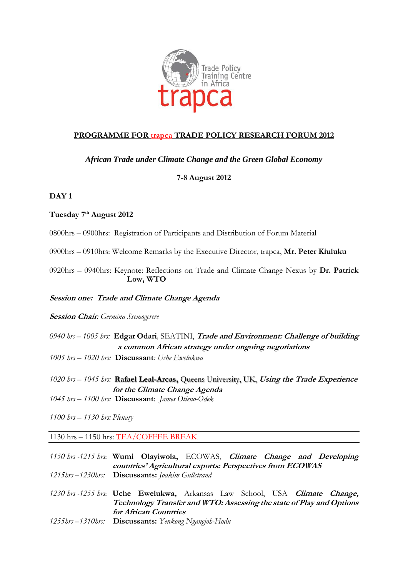

# **PROGRAMME FOR trapca TRADE POLICY RESEARCH FORUM 2012**

### *African Trade under Climate Change and the Green Global Economy*

## **7-8 August 2012**

## **DAY 1**

### **Tuesday 7 th August 2012**

0800hrs – 0900hrs: Registration of Participants and Distribution of Forum Material

0900hrs – 0910hrs: Welcome Remarks by the Executive Director, trapca, **Mr. Peter Kiuluku**

0920hrs – 0940hrs: Keynote: Reflections on Trade and Climate Change Nexus by **Dr. Patrick Low, WTO**

#### **Session one: Trade and Climate Change Agenda**

**Session Chair***: Germina Ssemogerere*

- *0940 hrs – 1005 hrs:* **Edgar Odari***,* SEATINI, **Trade and Environment: Challenge of building a common African strategy under ongoing negotiations**
- *1005 hrs – 1020 hrs:* **Discussant***: Uche Ewelukwa*
- *1020 hrs – 1045 hrs:* **Rafael Leal-Arcas,** Queens University, UK, **Using the Trade Experience for the Climate Change Agenda**
- *1045 hrs – 1100 hrs:* **Discussant**: *James Otieno-Odek*
- *1100 hrs – 1130 hrs: Plenary*

### 1130 hrs – 1150 hrs: TEA/COFFEE BREAK

*1150 hrs -1215 hrs*: **Wumi Olayiwola,** ECOWAS, **Climate Change and Developing countries' Agricultural exports: Perspectives from ECOWAS** *1215hrs –1230hrs:* **Discussants:** *Joakim Gullstrand*

- *1230 hrs -1255 hrs*: **Uche Ewelukwa,** Arkansas Law School, USA **Climate Change, Technology Transfer and WTO: Assessing the state of Play and Options for African Countries**
- *1255hrs –1310hrs:* **Discussants:** *Yenkong Ngangjoh-Hodu*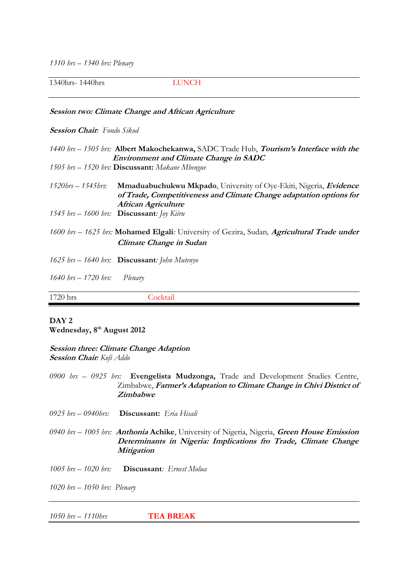*1310 hrs – 1340 hrs: Plenary*

1340hrs- 1440hrs LUNCH

#### **Session two: Climate Change and African Agriculture**

#### **Session Chair***: Fondo Sikod*

*1440 hrs – 1505 hrs:* **Albert Makochekanwa,** SADC Trade Hub, **Tourism's Interface with the Environment and Climate Change in SADC** *1505 hrs – 1520 hrs:* **Discussant:** *Makane Mbengue 1520hrs – 1545hrs*: **Mmaduabuchukwu Mkpado**, University of Oye-Ekiti, Nigeria, **Evidence of Trade, Competitiveness and Climate Change adaptation options for African Agriculture** *1545 hrs – 1600 hrs:* **Discussant***: Joy Kiiru 1600 hrs – 1625 hrs:* **Mohamed Elgali***:* University of Gezira, Sudan*,* **Agricultural Trade under Climate Change in Sudan** *1625 hrs – 1640 hrs:* **Discussant***: John Mutenyo 1640 hrs – 1720 hrs: Plenary* 1720 hrs Cocktail

# **DAY 2 Wednesday, 8 th August 2012**

#### **Session three: Climate Change Adaption Session Chair***: Kofi Addo*

*0900 hrs – 0925 hrs:* **Evengelista Mudzonga,** Trade and Development Studies Centre, Zimbabwe, **Farmer's Adaptation to Climate Change in Chivi District of Zimbabwe**

- *0925 hrs – 0940hrs:* **Discussant:** *Eria Hisali*
- *0940 hrs – 1005 hrs:* **Anthonia Achike**, University of Nigeria, Nigeria, **Green House Emission Determinants in Nigeria: Implications fro Trade, Climate Change Mitigation**
- *1005 hrs – 1020 hrs:* **Discussant***: Ernest Molua*

*1020 hrs – 1050 hrs: Plenary*

*1050 hrs – 1110hrs* **TEA BREAK**